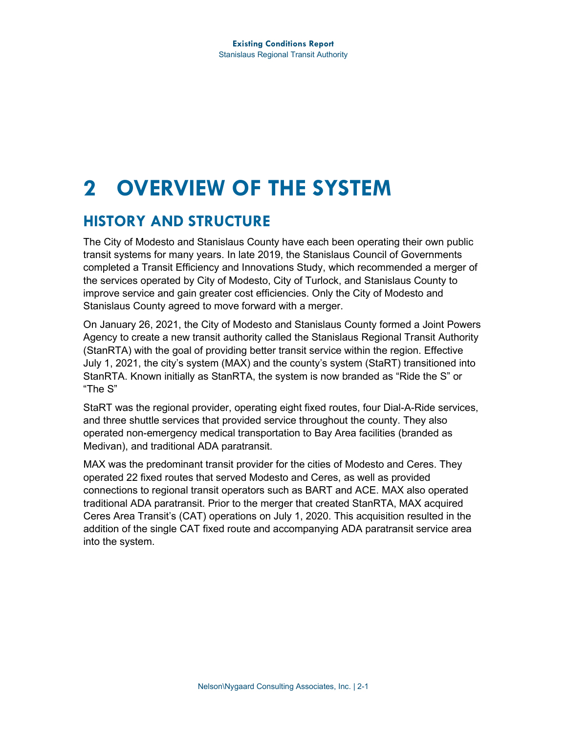# **2 OVERVIEW OF THE SYSTEM**

## **HISTORY AND STRUCTURE**

The City of Modesto and Stanislaus County have each been operating their own public transit systems for many years. In late 2019, the Stanislaus Council of Governments completed a Transit Efficiency and Innovations Study, which recommended a merger of the services operated by City of Modesto, City of Turlock, and Stanislaus County to improve service and gain greater cost efficiencies. Only the City of Modesto and Stanislaus County agreed to move forward with a merger.

On January 26, 2021, the City of Modesto and Stanislaus County formed a Joint Powers Agency to create a new transit authority called the Stanislaus Regional Transit Authority (StanRTA) with the goal of providing better transit service within the region. Effective July 1, 2021, the city's system (MAX) and the county's system (StaRT) transitioned into StanRTA. Known initially as StanRTA, the system is now branded as "Ride the S" or "The S"

StaRT was the regional provider, operating eight fixed routes, four Dial-A-Ride services, and three shuttle services that provided service throughout the county. They also operated non-emergency medical transportation to Bay Area facilities (branded as Medivan), and traditional ADA paratransit.

MAX was the predominant transit provider for the cities of Modesto and Ceres. They operated 22 fixed routes that served Modesto and Ceres, as well as provided connections to regional transit operators such as BART and ACE. MAX also operated traditional ADA paratransit. Prior to the merger that created StanRTA, MAX acquired Ceres Area Transit's (CAT) operations on July 1, 2020. This acquisition resulted in the addition of the single CAT fixed route and accompanying ADA paratransit service area into the system.